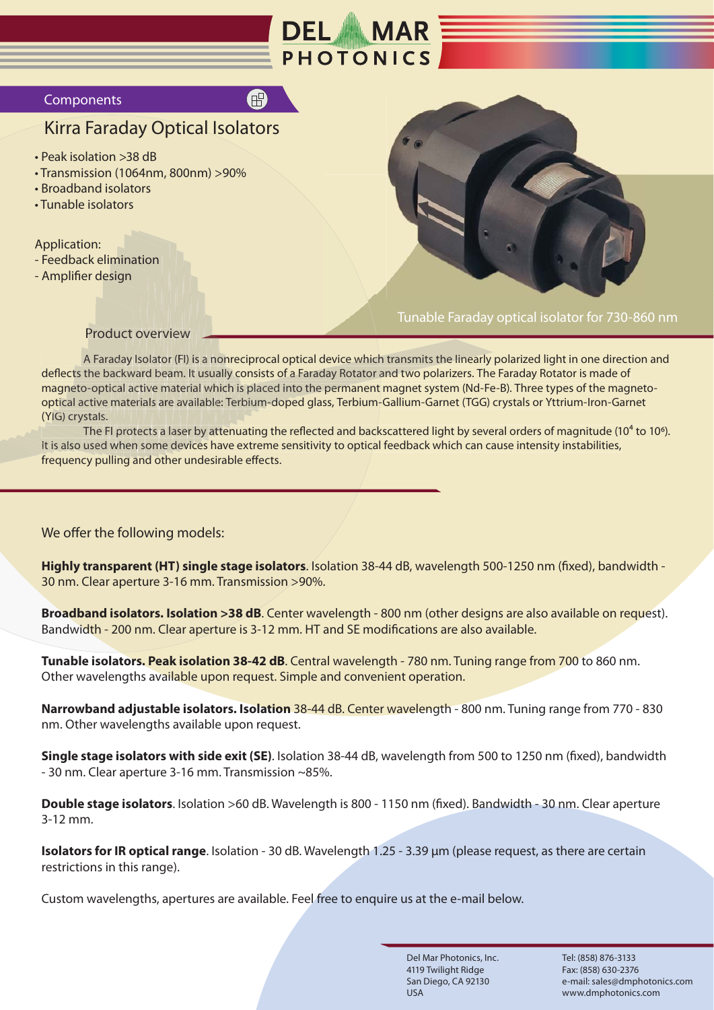

### **Components**

# Kirra Faraday Optical Isolators

- Peak isolation >38 dB
- Transmission (1064nm, 800nm) >90%
- Broadband isolators
- Tunable isolators

- Feedback elimination
- Amplifier design



Tunable Faraday optical isolator for 730-860 nm

### Product overview

Product overview<br>A Faraday Isolator (FI) is a nonreciprocal optical device which transmits the linearly polarized light in one direction and A Faraday Isolator (FI) is a nonreciprocal optical device which transmits the linearly polarized light in one direct<br>deflects the backward beam. It usually consists of a Faraday Rotator and two polarizers. The Faraday Rota magneto-optical active material which is placed into the permanent magnet system (Nd-Fe-B). Three types of the magnetomagneto-optical active material which is placed into the permanent magnet system (Nd-Fe-B). Three types of the magnet<br>optical active materials are available: Terbium-doped glass, Terbium-Gallium-Garnet (TGG) crystals or Yt <mark>optic</mark>al active<br>(YIG) crystals. optical active materials are available: Terbium-doped glass, Terbium-Gallium-Garnet (TGG) crystals or Yttrium-Iron-Garnet<br>(YIG) crystals.<br>The FI protects a laser by attenuating the reflected and backscattered light by seve optical active materials are available: Terbium-doped glass, Terbium-Gallium-Garnet (TGG) crystals or Yttrium-Iron-Ga<br>1) (YIG) crystals.<br>The FI protects a laser by attenuating the reflected and backscattered light by sever co<br>is<br>erb ward beam. It usually <mark>consists of a Faraday Rot</mark><br>active material which is placed into the perma no<br>ual<br>vhi (FI) is a n<br>m. It usu بن<br>ua<br>ole<br>at iew<br><sup>,</sup> (FI)<br>am. I<br>ater ea ma<sup>.</sup><br>are<br>a la<br><sub>l</sub>e d <mark>nagneto-optical active material which is placed int</mark><br>ptical active materials are available: Terbium-dope ato<br>be<br>a m rview<br>tor (FI) is a nonreciprocal optical device which transmits the linea<br>beam. It usually consists of a Faraday Rotator and two polarizers.<br>Thaterial which is placed into the permanent magnet system (Nd<br>are available: Te day Isola<mark>t</mark><br>ckward b OV<br>Iso<br>arc<br>ctiv<br>ria<br>:ec<br>1 sc kw<br>al a<br>ate al a Farada<br>e back<br>optical<br>ive ma<br>als.<br>ne FI pr<br>ed wh he bacl<br>-optica<br>:tive ma neto-optic ts the ba Application:<br>
- Feedback elimination<br>
- Amplifier design<br>
- Product overv<br>
- Product overv<br>
- A Faraday Isolato<br>
deflects the backward beam<br>
magneto-optical active materials are<br>
optical active materials are<br>
(YIG) crystal

The FI protects a laser by attenuating th<br>It is also used when some devices have extreme<br>frequency pulling and other undesirable effects.

We offer the following models:

**Highly transparent (HT) single stage isolators**. Isolation 38-44 dB, wavelength 500-1250 nm (fixed), bandwidth - 30 nm. Clear aperture 3-16 mm. Transmission >90%.

**Broadband isolators. Isolation >38 dB**. Center wavelength - 800 nm (other designs are also available on request). Bandwidth - 200 nm. Clear aperture is 3-12 mm. HT and SE modifications are also available.

**Tunable isolators. Peak isolation 38-42 dB**. Central wavelength - 780 nm. Tuning range from 700 to 860 nm. Other wavelengths available upon request. Simple and convenient operation.

**Narrowband adjustable isolators. Isolation** 38-44 dB. Center wavelength - 800 nm. Tuning range from 770 - 830 nm. Other wavelengths available upon request.

**Single stage isolators with side exit (SE)**. Isolation 38-44 dB, wavelength from 500 to 1250 nm (fixed), bandwidth - 30 nm. Clear aperture 3-16 mm. Transmission ~85%.

**Double stage isolators**. Isolation >60 dB. Wavelength is 800 - 1150 nm (fixed). Bandwidth - 30 nm. Clear aperture 3-12 mm.

**Isolators for IR optical range**. Isolation - 30 dB. Wavelength 1.25 - 3.39 μm (please request, as there are certain restrictions in this range).

Custom wavelengths, apertures are available. Feel free to enquire us at the e-mail below.

Del Mar Photonics, Inc. 4119 Twilight Ridge San Diego, CA 92130 USA